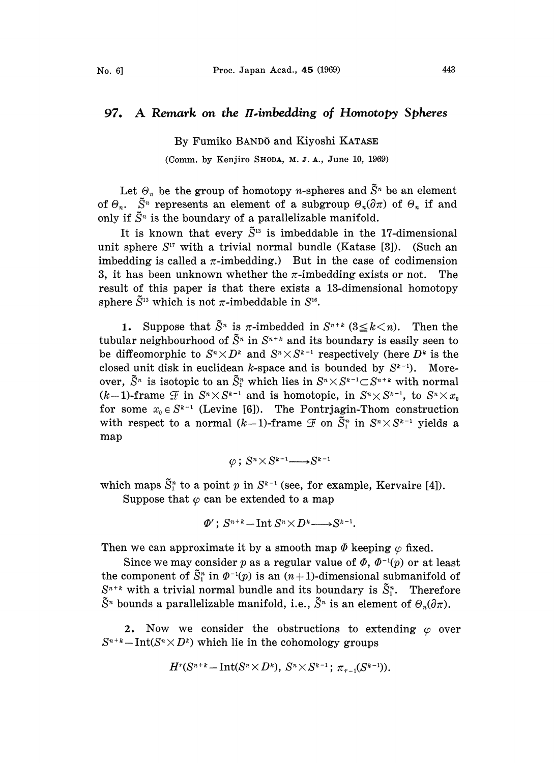## 97. A Remark on the  $\Pi$ -imbedding of Homotopy Spheres

By Fumiko BAND5 and Kiyoshi KATASE

(Comm. by Kenjiro SHODA, M. J. A., June 10, 1969)

Let  $\Theta_n$  be the group of homotopy *n*-spheres and  $\tilde{S}^n$  be an element of  $\Theta_n$ .  $\tilde{S}^n$  represents an element of a subgroup  $\Theta_n(\partial \pi)$  of  $\Theta_n$  if and only if  $\tilde{S}^n$  is the boundary of a parallelizable manifold.

It is known that every  $\tilde{S}^{13}$  is imbeddable in the 17-dimensional unit sphere  $S^{17}$  with a trivial normal bundle (Katase [3]). (Such an imbedding is called a  $\pi$ -imbedding.) But in the case of codimension 3, it has been unknown whether the  $\pi$ -imbedding exists or not. The result of this paper is that there exists a 13-dimensional homotopy sphere  $\tilde{S}^{13}$  which is not  $\pi$ -imbeddable in  $S^{16}$ .

**1.** Suppose that  $\tilde{S}^n$  is  $\pi$ -imbedded in  $S^{n+k}$  ( $3 \le k \le n$ ). Then the tubular neighbourhood of  $\tilde{S}^n$  in  $S^{n+k}$  and its boundary is easily seen to<br>be diffeomorphic to  $S^n \times D^k$  and  $S^n \times S^{k-1}$  respectively (here  $D^k$  is the<br>closed unit dials in such degree of the boundary  $S^{k-1}$ . M be diffeomorphic to  $S^n \times D^k$  and  $S^n \times S^{k-1}$  respectively (here  $D^k$  is the closed unit disk in euclidean k-space and is bounded by  $S^{k-1}$ ). Moreclosed unit disk in euclidean *k*-space and is bounded by  $S^{k-1}$ ). More-<br>over,  $\tilde{S}^n$  is isotopic to an  $\tilde{S}_1^n$  which lies in  $S^n \times S^{k-1} \subset S^{n+k}$  with normal over,  $S^n$  is isotopic to an  $(k-1)$ -frame  $\mathcal F$  in  $S^n{\times}S$  $x^{k-1}$  and is homotopic, in  $S^n \times S^{k-1}$ , to  $S^n \times x$ <br>is [6]). The Pontrjagin-Thom construction for some  $x_0 \in S^{k-1}$  (Levine [6]). The Pontrjagin-Thom construction for some  $x_0 \in S^{k-1}$  (Levine [6]). The Pontrjagin-Thom construction<br>with respect to a normal  $(k-1)$ -frame  $\mathcal F$  on  $\tilde S_1^n$  in  $S^n \times S^{k-1}$  yields a  $\binom{k-1}{k}$  yields a map

$$
\varphi: S^n \times S^{k-1} \longrightarrow S^{k-1}
$$

which maps  $\tilde{S}_1^n$  to a point p in  $S^{k-1}$  (see, for example, Kervaire [4]).

Suppose that  $\varphi$  can be extended to a map

$$
\Phi'; S^{n+k} - \text{Int } S^n \times D^k \longrightarrow S^{k-1}.
$$

Then we can approximate it by a smooth map  $\Phi$  keeping  $\varphi$  fixed.

Since we may consider p as a regular value of  $\Phi$ ,  $\Phi^{-1}(p)$  or at least the component of  $\tilde{S}_1^n$  in  $\varPhi^{-1}(p)$  is an  $(n+1)$ -dimensional submanifold of  $S^{n+k}$  with a trivial normal bundle and its boundary is  $\tilde{S}_1^n$ . Therefore  $\tilde{S}^n$  bounds a parallelizable manifold, i.e.,  $\tilde{S}^n$  is an element of  $\theta_n(\partial \pi)$ .

2. Now we consider the obstructions to extending  $\varphi$  over  $S^{n+k}$  - Int( $S^{n} \times D^{k}$ ) which lie in the cohomology groups

$$
H^r(S^{n+k}-{\rm Int}(S^n\times D^k),\ S^n\times S^{k-1};\ \pi_{r-1}(S^{k-1})).
$$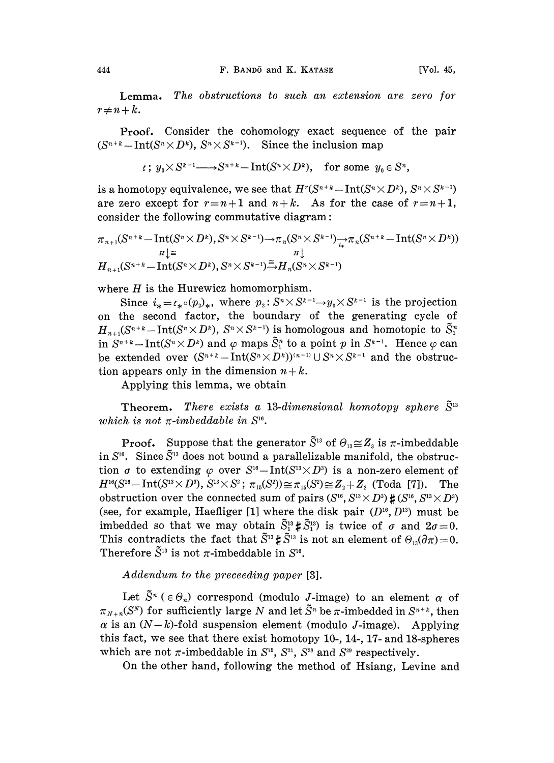Lemma. The obstructions to such an extension are zero for  $r \neq n+k$ .

Proof. Consider the cohomology exact sequence of the pair  $(S^{n+k}-Int(S^{n}\times D^{k}), S^{n}\times S^{k-1}).$  Since the inclusion map

$$
\iota: y_0 \times S^{k-1} \longrightarrow S^{n+k} - \text{Int}(S^n \times D^k), \text{ for some } y_0 \in S^n,
$$

is a homotopy equivalence, we see that  $H^r(S^{n+k}-\text{Int}(S^n\times D^k), S^n\times S^{k-1})$ <br>are zero except for  $r=n+1$  and  $n+k$ . As for the case of  $r=n+1$ , are zero except for  $r=n+1$  and  $n+k$ . As for the case of  $r=n+1$ ,

$$
\begin{aligned} &\text{consider the following commutative diagram:}\\ &\pi_{n+1}(S^{n+k}-\text{Int}(S^n\times D^k),S^n\times S^{k-1}){\longrightarrow}\pi_n(S^n\times S^{k-1}){\longrightarrow}\pi_n(S^{n+k}-\text{Int}(S^n\times D^k))\\ &\stackrel{H\downarrow\equiv}{H_{n+1}(S^{n+k}-\text{Int}(S^n\times D^k),S^n\times S^{k-1})}{\longrightarrow}H_n(S^n\times S^{k-1})\\ \end{aligned}
$$

where  $H$  is the Hurewicz homomorphism.

Since  $i_* = \ell_* \circ (p_i)_*,$  where  $p_i : S^n \times S^{k-1} \to Y_0 \times S^{k-1}$  is the projection on the second factor, the boundary of the generating cycle of  $H_{n+1}(S^{n+k}-\text{Int}(S^{n}\times D^{k}), S^{n}\times S^{k-1})$  is homologous and homotopic to  $\tilde{S}_1^n$ in  $S^{n+k}-\text{Int}(S^n\times D^k)$  and  $\varphi$  maps  $\tilde{S}^n$  to a point p in  $S^{k-1}$ . Hence  $\varphi$  can be extended over  $(S^{n+k}-Int(S^{n}\times D^{k}))^{(n+1)}\cup S^{n}\times S^{k-1}$  and the obstruction appears only in the dimension  $n+k$ . tion appears only in the dimension  $n+k$ .

Applying this lemma, we obtain

**Theorem.** There exists a 13-dimensional homotopy sphere  $\tilde{S}^{13}$ which is not  $\pi$ -imbeddable in  $S^{16}$ .

**Proof.** Suppose that the generator  $\tilde{S}^{13}$  of  $\Theta_{13} \cong Z_3$  is  $\pi$ -imbeddable in  $S^{16}$ . Since  $\tilde{S}^{13}$  does not bound a parallelizable manifold, the obstruction  $\sigma$  to extending  $\varphi$  over  $S^{16}-Int(S^{13}\times D^3)$  is a non-zero element of  $H^{16}(S^{16}-Int(S^{13}\times D^3), S^{13}\times S^2; \pi_{15}(S^2))\cong \pi_{15}(S^2)\cong Z_2+Z_2$  (Toda [7]). The obstruction over the connected sum of pairs  $(S^{16}, S^{13} \times D^3) \sharp (S^{16}, S^{13} \times D^3)$ (see, for example, Haefliger [1] where the disk pair  $(D^{16}, D^{13})$  must be imbedded so that we may obtain  $\tilde{S}_1^{13} \sharp \tilde{S}_1^{13}$  is twice of  $\sigma$  and  $2\sigma=0$ . This contradicts the fact that  $\tilde{S}^{13} \sharp \tilde{S}^{13}$  is not an element of  $\Theta_{13}(\partial \pi) = 0$ . Therefore  $\tilde{S}^{13}$  is not  $\pi$ -imbeddable in  $S^{16}$ .

## Addendum to the preceeding paper [3].

Let  $\tilde{S}^n$  ( $\in \Theta_n$ ) correspond (modulo *J*-image) to an element  $\alpha$  of  $\pi_{N+n}(S^N)$  for sufficiently large N and let  $\tilde{S}^n$  be  $\pi$ -imbedded in  $S^{n+k}$ , then  $\alpha$  is an  $(N-k)$ -fold suspension element (modulo J-image). Applying this fact, we see that there exist homotopy 10-, 14-, 17- and 18-spheres which are not  $\pi$ -imbeddable in  $S^{15}$ ,  $S^{21}$ ,  $S^{28}$  and  $S^{29}$  respectively.

On the other hand, following the method of Hsiang, Levine and